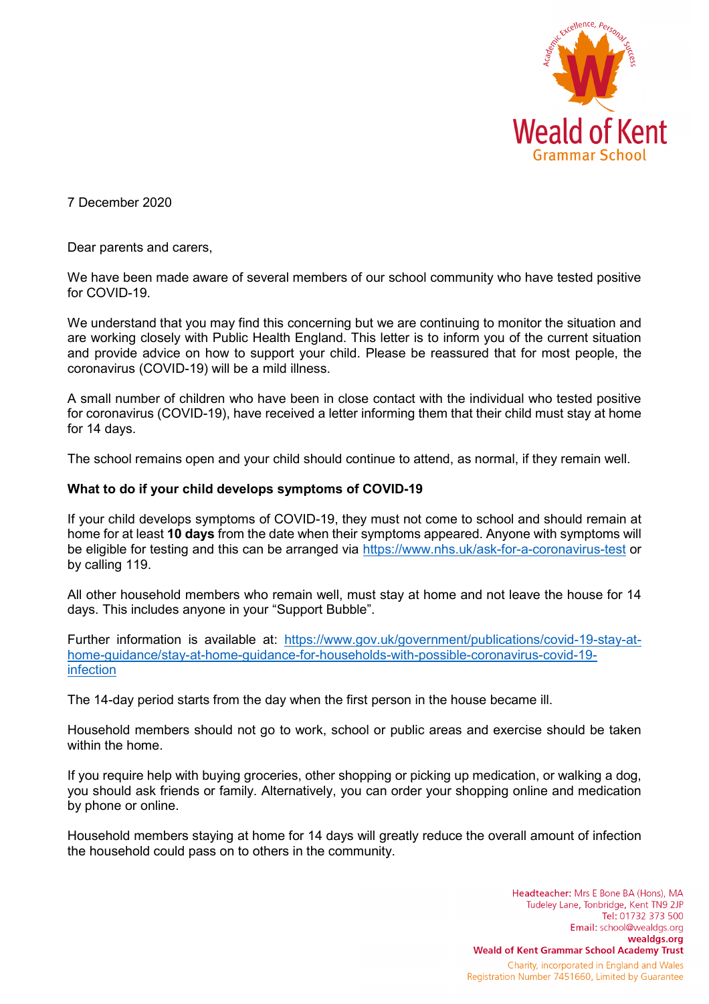

7 December 2020

Dear parents and carers,

We have been made aware of several members of our school community who have tested positive for COVID-19.

We understand that you may find this concerning but we are continuing to monitor the situation and are working closely with Public Health England. This letter is to inform you of the current situation and provide advice on how to support your child. Please be reassured that for most people, the coronavirus (COVID-19) will be a mild illness.

A small number of children who have been in close contact with the individual who tested positive for coronavirus (COVID-19), have received a letter informing them that their child must stay at home for 14 days.

The school remains open and your child should continue to attend, as normal, if they remain well.

### **What to do if your child develops symptoms of COVID-19**

If your child develops symptoms of COVID-19, they must not come to school and should remain at home for at least **10 days** from the date when their symptoms appeared. Anyone with symptoms will be eligible for testing and this can be arranged via<https://www.nhs.uk/ask-for-a-coronavirus-test> or by calling 119.

All other household members who remain well, must stay at home and not leave the house for 14 days. This includes anyone in your "Support Bubble".

Further information is available at: [https://www.gov.uk/government/publications/covid-19-stay-at](https://www.gov.uk/government/publications/covid-19-stay-at-home-guidance/stay-at-home-guidance-for-households-with-possible-coronavirus-covid-19-infection)[home-guidance/stay-at-home-guidance-for-households-with-possible-coronavirus-covid-19](https://www.gov.uk/government/publications/covid-19-stay-at-home-guidance/stay-at-home-guidance-for-households-with-possible-coronavirus-covid-19-infection) [infection](https://www.gov.uk/government/publications/covid-19-stay-at-home-guidance/stay-at-home-guidance-for-households-with-possible-coronavirus-covid-19-infection)

The 14-day period starts from the day when the first person in the house became ill.

Household members should not go to work, school or public areas and exercise should be taken within the home.

If you require help with buying groceries, other shopping or picking up medication, or walking a dog, you should ask friends or family. Alternatively, you can order your shopping online and medication by phone or online.

Household members staying at home for 14 days will greatly reduce the overall amount of infection the household could pass on to others in the community.